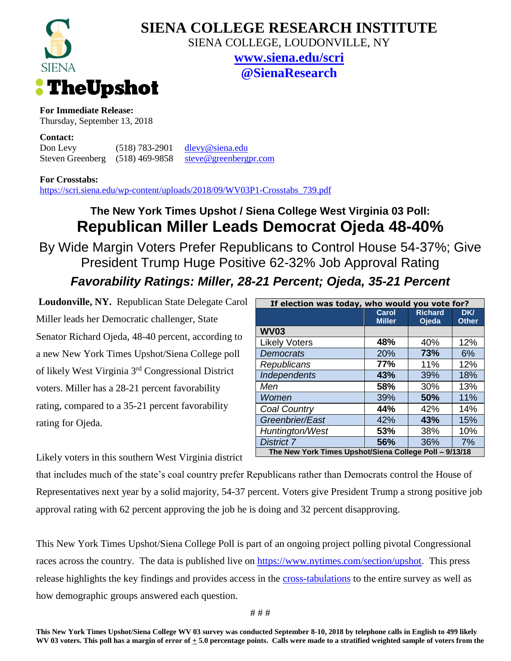

## **SIENA COLLEGE RESEARCH INSTITUTE**

SIENA COLLEGE, LOUDONVILLE, NY

**[www.siena.edu/scri](http://www.siena.edu/scri) @SienaResearch**

**For Immediate Release:**

Thursday, September 13, 2018

**Contact:**

Don Levy (518) 783-2901 [dlevy@siena.edu](mailto:dlevy@siena.edu) Steven Greenberg (518) 469-9858 [steve@greenbergpr.com](mailto:steve@greenbergpr.com)

**For Crosstabs:**

[https://scri.siena.edu/wp-content/uploads/2018/09/WV03P1-Crosstabs\\_739.pdf](https://scri.siena.edu/wp-content/uploads/2018/09/WV03P1-Crosstabs_739.pdf)

## **The New York Times Upshot / Siena College West Virginia 03 Poll: Republican Miller Leads Democrat Ojeda 48-40%**

By Wide Margin Voters Prefer Republicans to Control House 54-37%; Give President Trump Huge Positive 62-32% Job Approval Rating *Favorability Ratings: Miller, 28-21 Percent; Ojeda, 35-21 Percent*

**Loudonville, NY.** Republican State Delegate Carol Miller leads her Democratic challenger, State Senator Richard Ojeda, 48-40 percent, according to a new New York Times Upshot/Siena College poll of likely West Virginia 3rd Congressional District voters. Miller has a 28-21 percent favorability rating, compared to a 35-21 percent favorability rating for Ojeda.

Likely voters in this southern West Virginia district

| If election was today, who would you vote for?         |               |                |              |
|--------------------------------------------------------|---------------|----------------|--------------|
|                                                        | Carol         | <b>Richard</b> | <b>DKI</b>   |
|                                                        | <b>Miller</b> | Ojeda          | <b>Other</b> |
| <b>WV03</b>                                            |               |                |              |
| <b>Likely Voters</b>                                   | 48%           | 40%            | 12%          |
| <b>Democrats</b>                                       | 20%           | 73%            | 6%           |
| Republicans                                            | 77%           | 11%            | 12%          |
| Independents                                           | 43%           | 39%            | 18%          |
| Men                                                    | 58%           | 30%            | 13%          |
| Women                                                  | 39%           | 50%            | 11%          |
| Coal Country                                           | 44%           | 42%            | 14%          |
| Greenbrier/East                                        | 42%           | 43%            | 15%          |
| Huntington/West                                        | 53%           | 38%            | 10%          |
| <b>District 7</b>                                      | 56%           | 36%            | 7%           |
| The New York Times Upshot/Siena College Poll - 9/13/18 |               |                |              |

that includes much of the state's coal country prefer Republicans rather than Democrats control the House of Representatives next year by a solid majority, 54-37 percent. Voters give President Trump a strong positive job approval rating with 62 percent approving the job he is doing and 32 percent disapproving.

This New York Times Upshot/Siena College Poll is part of an ongoing project polling pivotal Congressional races across the country. The data is published live on [https://www.nytimes.com/section/upshot.](https://www.nytimes.com/section/upshot) This press release highlights the key findings and provides access in the [cross-tabulations](https://scri.siena.edu/wp-content/uploads/2018/09/WV03P1-Crosstabs_739.pdf) to the entire survey as well as how demographic groups answered each question.